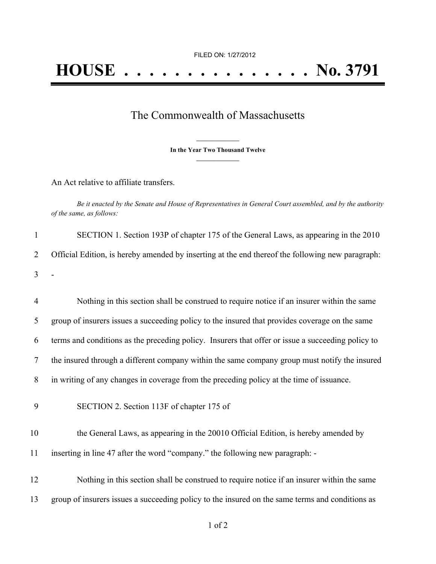## The Commonwealth of Massachusetts

**\_\_\_\_\_\_\_\_\_\_\_\_\_\_\_ In the Year Two Thousand Twelve \_\_\_\_\_\_\_\_\_\_\_\_\_\_\_**

An Act relative to affiliate transfers.

Be it enacted by the Senate and House of Representatives in General Court assembled, and by the authority *of the same, as follows:*

|         | SECTION 1. Section 193P of chapter 175 of the General Laws, as appearing in the 2010               |
|---------|----------------------------------------------------------------------------------------------------|
|         | 2 Official Edition, is hereby amended by inserting at the end thereof the following new paragraph: |
| $3 - 1$ |                                                                                                    |

| $\overline{4}$ | Nothing in this section shall be construed to require notice if an insurer within the same        |
|----------------|---------------------------------------------------------------------------------------------------|
| 5              | group of insurers issues a succeeding policy to the insured that provides coverage on the same    |
| 6              | terms and conditions as the preceding policy. Insurers that offer or issue a succeeding policy to |
| 7              | the insured through a different company within the same company group must notify the insured     |
| 8              | in writing of any changes in coverage from the preceding policy at the time of issuance.          |
| 9              | SECTION 2. Section 113F of chapter 175 of                                                         |

10 the General Laws, as appearing in the 20010 Official Edition, is hereby amended by 11 inserting in line 47 after the word "company." the following new paragraph: -

12 Nothing in this section shall be construed to require notice if an insurer within the same 13 group of insurers issues a succeeding policy to the insured on the same terms and conditions as